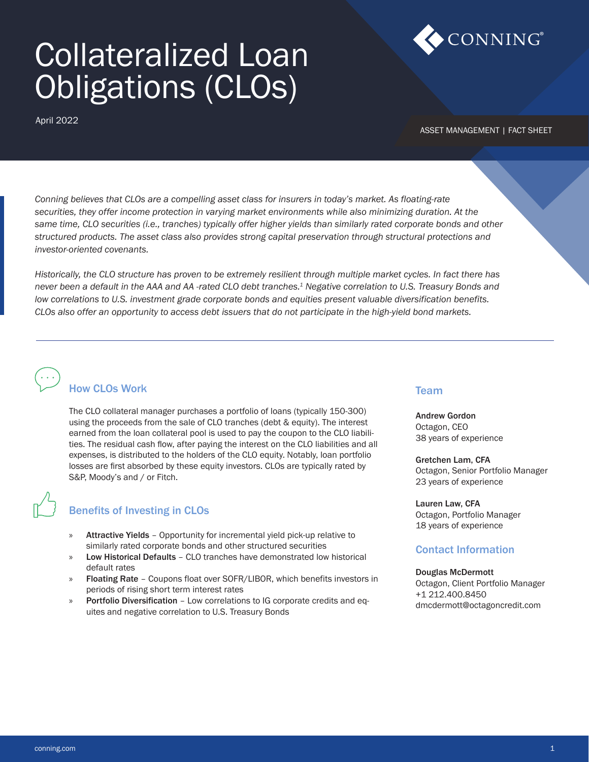# Collateralized Loan Obligations (CLOs)

April 2022



ASSET MANAGEMENT | FACT SHEET

*Conning believes that CLOs are a compelling asset class for insurers in today's market. As floating-rate securities, they offer income protection in varying market environments while also minimizing duration. At the same time, CLO securities (i.e., tranches) typically offer higher yields than similarly rated corporate bonds and other structured products. The asset class also provides strong capital preservation through structural protections and investor-oriented covenants.*

*Historically, the CLO structure has proven to be extremely resilient through multiple market cycles. In fact there has never been a default in the AAA and AA -rated CLO debt tranches.1 Negative correlation to U.S. Treasury Bonds and low correlations to U.S. investment grade corporate bonds and equities present valuable diversification benefits. CLOs also offer an opportunity to access debt issuers that do not participate in the high-yield bond markets.*

# How CLOs Work

The CLO collateral manager purchases a portfolio of loans (typically 150-300) using the proceeds from the sale of CLO tranches (debt & equity). The interest earned from the loan collateral pool is used to pay the coupon to the CLO liabilities. The residual cash flow, after paying the interest on the CLO liabilities and all expenses, is distributed to the holders of the CLO equity. Notably, loan portfolio losses are first absorbed by these equity investors. CLOs are typically rated by S&P, Moody's and / or Fitch.

# Benefits of Investing in CLOs

- » Attractive Yields Opportunity for incremental yield pick-up relative to similarly rated corporate bonds and other structured securities
- » Low Historical Defaults CLO tranches have demonstrated low historical default rates
- » Floating Rate Coupons float over SOFR/LIBOR, which benefits investors in periods of rising short term interest rates
- » Portfolio Diversification Low correlations to IG corporate credits and equites and negative correlation to U.S. Treasury Bonds

#### Team

Andrew Gordon Octagon, CEO 38 years of experience

Gretchen Lam, CFA Octagon, Senior Portfolio Manager 23 years of experience

Lauren Law, CFA Octagon, Portfolio Manager 18 years of experience

# Contact Information

#### Douglas McDermott

Octagon, Client Portfolio Manager +1 212.400.8450 dmcdermott@octagoncredit.com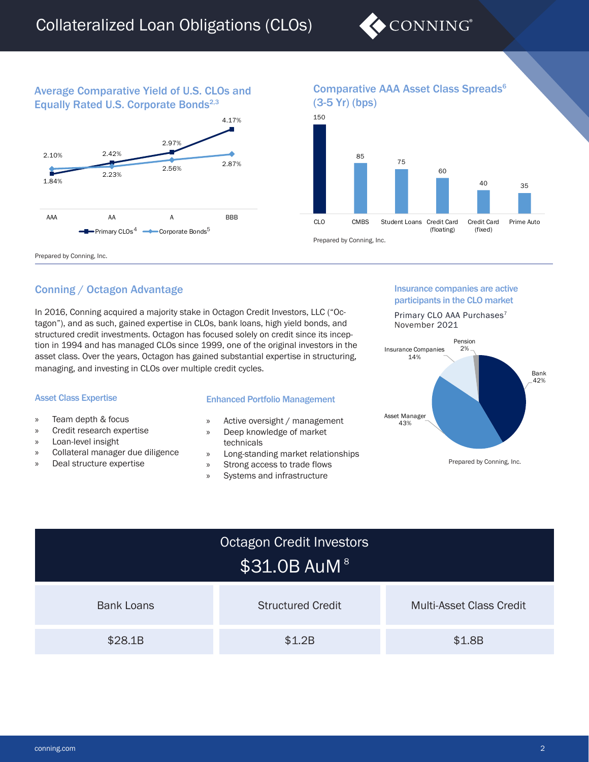

# Average Comparative Yield of U.S. CLOs and Equally Rated U.S. Corporate Bonds<sup>2,3</sup>



# Comparative AAA Asset Class Spreads6



Prepared by Conning, Inc.

# Conning / Octagon Advantage

In 2016, Conning acquired a majority stake in Octagon Credit Investors, LLC ("Octagon"), and as such, gained expertise in CLOs, bank loans, high yield bonds, and structured credit investments. Octagon has focused solely on credit since its inception in 1994 and has managed CLOs since 1999, one of the original investors in the asset class. Over the years, Octagon has gained substantial expertise in structuring, managing, and investing in CLOs over multiple credit cycles.

#### Asset Class Expertise

- » Team depth & focus
- » Credit research expertise
- » Loan-level insight
- » Collateral manager due diligence
- » Deal structure expertise

#### Enhanced Portfolio Management

- » Active oversight / management
- » Deep knowledge of market technicals
- » Long-standing market relationships
- » Strong access to trade flows
- » Systems and infrastructure

#### Insurance companies are active participants in the CLO market

Primary CLO AAA Purchases<sup>7</sup> November 2021



| Octagon Credit Investors<br>\$31.0B AuM <sup>8</sup> |                          |                                 |  |
|------------------------------------------------------|--------------------------|---------------------------------|--|
| <b>Bank Loans</b>                                    | <b>Structured Credit</b> | <b>Multi-Asset Class Credit</b> |  |
| \$28.1B                                              | \$1,2B                   | \$1.8B                          |  |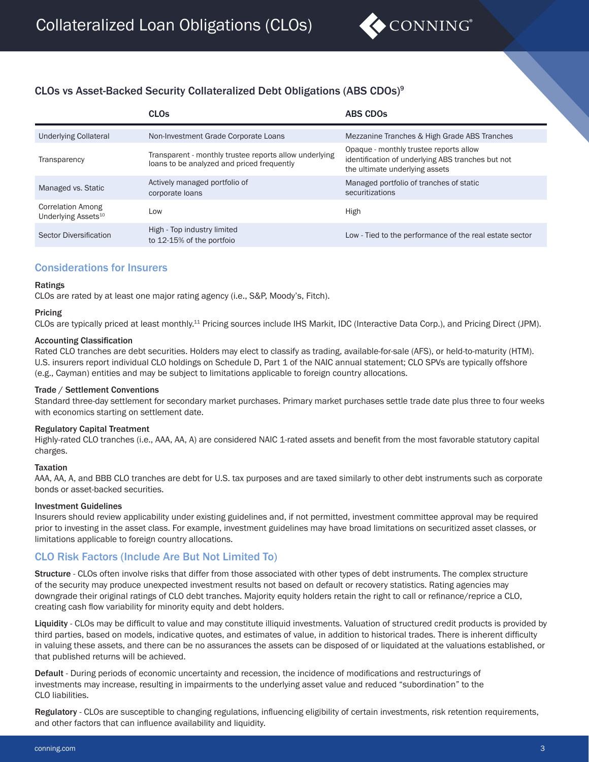

# CLOs vs Asset-Backed Security Collateralized Debt Obligations (ABS CDOs)9

|                                                             | <b>CLO<sub>s</sub></b>                                                                               | <b>ABS CDOS</b>                                                                                                               |
|-------------------------------------------------------------|------------------------------------------------------------------------------------------------------|-------------------------------------------------------------------------------------------------------------------------------|
| <b>Underlying Collateral</b>                                | Non-Investment Grade Corporate Loans                                                                 | Mezzanine Tranches & High Grade ABS Tranches                                                                                  |
| Transparency                                                | Transparent - monthly trustee reports allow underlying<br>loans to be analyzed and priced frequently | Opaque - monthly trustee reports allow<br>identification of underlying ABS tranches but not<br>the ultimate underlying assets |
| Managed vs. Static                                          | Actively managed portfolio of<br>corporate loans                                                     | Managed portfolio of tranches of static<br>securitizations                                                                    |
| <b>Correlation Among</b><br>Underlying Assets <sup>10</sup> | Low                                                                                                  | High                                                                                                                          |
| Sector Diversification                                      | High - Top industry limited<br>to 12-15% of the portfoio                                             | Low - Tied to the performance of the real estate sector                                                                       |

### Considerations for Insurers

#### Ratings

CLOs are rated by at least one major rating agency (i.e., S&P, Moody's, Fitch).

# Pricing

CLOs are typically priced at least monthly.11 Pricing sources include IHS Markit, IDC (Interactive Data Corp.), and Pricing Direct (JPM).

#### Accounting Classification

Rated CLO tranches are debt securities. Holders may elect to classify as trading, available-for-sale (AFS), or held-to-maturity (HTM). U.S. insurers report individual CLO holdings on Schedule D, Part 1 of the NAIC annual statement; CLO SPVs are typically offshore (e.g., Cayman) entities and may be subject to limitations applicable to foreign country allocations.

#### Trade / Settlement Conventions

Standard three-day settlement for secondary market purchases. Primary market purchases settle trade date plus three to four weeks with economics starting on settlement date.

#### Regulatory Capital Treatment

Highly-rated CLO tranches (i.e., AAA, AA, A) are considered NAIC 1-rated assets and benefit from the most favorable statutory capital charges.

#### Taxation

AAA, AA, A, and BBB CLO tranches are debt for U.S. tax purposes and are taxed similarly to other debt instruments such as corporate bonds or asset-backed securities.

#### Investment Guidelines

Insurers should review applicability under existing guidelines and, if not permitted, investment committee approval may be required prior to investing in the asset class. For example, investment guidelines may have broad limitations on securitized asset classes, or limitations applicable to foreign country allocations.

#### CLO Risk Factors (Include Are But Not Limited To)

Structure - CLOs often involve risks that differ from those associated with other types of debt instruments. The complex structure of the security may produce unexpected investment results not based on default or recovery statistics. Rating agencies may downgrade their original ratings of CLO debt tranches. Majority equity holders retain the right to call or refinance/reprice a CLO, creating cash flow variability for minority equity and debt holders.

Liquidity - CLOs may be difficult to value and may constitute illiquid investments. Valuation of structured credit products is provided by third parties, based on models, indicative quotes, and estimates of value, in addition to historical trades. There is inherent difficulty in valuing these assets, and there can be no assurances the assets can be disposed of or liquidated at the valuations established, or that published returns will be achieved.

Default - During periods of economic uncertainty and recession, the incidence of modifications and restructurings of investments may increase, resulting in impairments to the underlying asset value and reduced "subordination" to the CLO liabilities.

Regulatory - CLOs are susceptible to changing regulations, influencing eligibility of certain investments, risk retention requirements, and other factors that can influence availability and liquidity.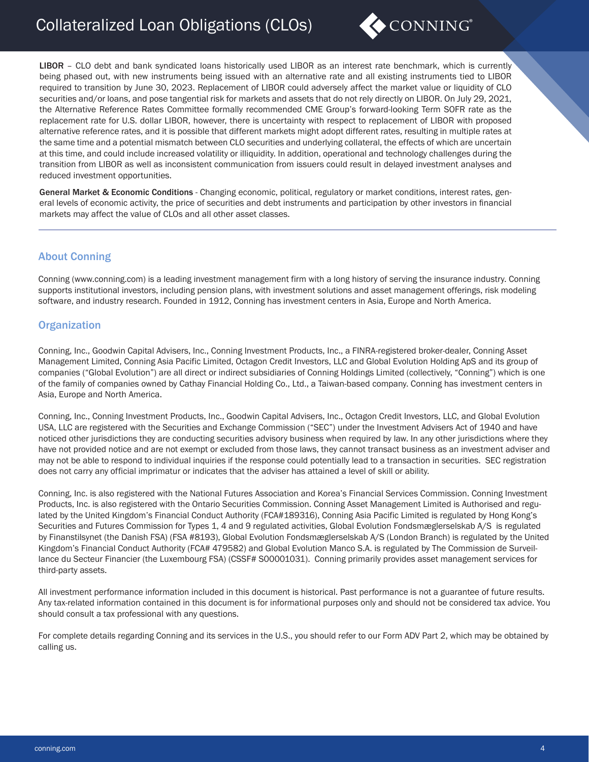# Collateralized Loan Obligations (CLOs)



LIBOR – CLO debt and bank syndicated loans historically used LIBOR as an interest rate benchmark, which is currently being phased out, with new instruments being issued with an alternative rate and all existing instruments tied to LIBOR required to transition by June 30, 2023. Replacement of LIBOR could adversely affect the market value or liquidity of CLO securities and/or loans, and pose tangential risk for markets and assets that do not rely directly on LIBOR. On July 29, 2021, the Alternative Reference Rates Committee formally recommended CME Group's forward-looking Term SOFR rate as the replacement rate for U.S. dollar LIBOR, however, there is uncertainty with respect to replacement of LIBOR with proposed alternative reference rates, and it is possible that different markets might adopt different rates, resulting in multiple rates at the same time and a potential mismatch between CLO securities and underlying collateral, the effects of which are uncertain at this time, and could include increased volatility or illiquidity. In addition, operational and technology challenges during the transition from LIBOR as well as inconsistent communication from issuers could result in delayed investment analyses and reduced investment opportunities.

General Market & Economic Conditions - Changing economic, political, regulatory or market conditions, interest rates, general levels of economic activity, the price of securities and debt instruments and participation by other investors in financial markets may affect the value of CLOs and all other asset classes.

# About Conning

Conning (www.conning.com) is a leading investment management firm with a long history of serving the insurance industry. Conning supports institutional investors, including pension plans, with investment solutions and asset management offerings, risk modeling software, and industry research. Founded in 1912, Conning has investment centers in Asia, Europe and North America.

### **Organization**

Conning, Inc., Goodwin Capital Advisers, Inc., Conning Investment Products, Inc., a FINRA-registered broker-dealer, Conning Asset Management Limited, Conning Asia Pacific Limited, Octagon Credit Investors, LLC and Global Evolution Holding ApS and its group of companies ("Global Evolution") are all direct or indirect subsidiaries of Conning Holdings Limited (collectively, "Conning") which is one of the family of companies owned by Cathay Financial Holding Co., Ltd., a Taiwan-based company. Conning has investment centers in Asia, Europe and North America.

Conning, Inc., Conning Investment Products, Inc., Goodwin Capital Advisers, Inc., Octagon Credit Investors, LLC, and Global Evolution USA, LLC are registered with the Securities and Exchange Commission ("SEC") under the Investment Advisers Act of 1940 and have noticed other jurisdictions they are conducting securities advisory business when required by law. In any other jurisdictions where they have not provided notice and are not exempt or excluded from those laws, they cannot transact business as an investment adviser and may not be able to respond to individual inquiries if the response could potentially lead to a transaction in securities. SEC registration does not carry any official imprimatur or indicates that the adviser has attained a level of skill or ability.

Conning, Inc. is also registered with the National Futures Association and Korea's Financial Services Commission. Conning Investment Products, Inc. is also registered with the Ontario Securities Commission. Conning Asset Management Limited is Authorised and regulated by the United Kingdom's Financial Conduct Authority (FCA#189316), Conning Asia Pacific Limited is regulated by Hong Kong's Securities and Futures Commission for Types 1, 4 and 9 regulated activities, Global Evolution Fondsmæglerselskab A/S is regulated by Finanstilsynet (the Danish FSA) (FSA #8193), Global Evolution Fondsmæglerselskab A/S (London Branch) is regulated by the United Kingdom's Financial Conduct Authority (FCA# 479582) and Global Evolution Manco S.A. is regulated by The Commission de Surveillance du Secteur Financier (the Luxembourg FSA) (CSSF# S00001031). Conning primarily provides asset management services for third-party assets.

All investment performance information included in this document is historical. Past performance is not a guarantee of future results. Any tax-related information contained in this document is for informational purposes only and should not be considered tax advice. You should consult a tax professional with any questions.

For complete details regarding Conning and its services in the U.S., you should refer to our Form ADV Part 2, which may be obtained by calling us.